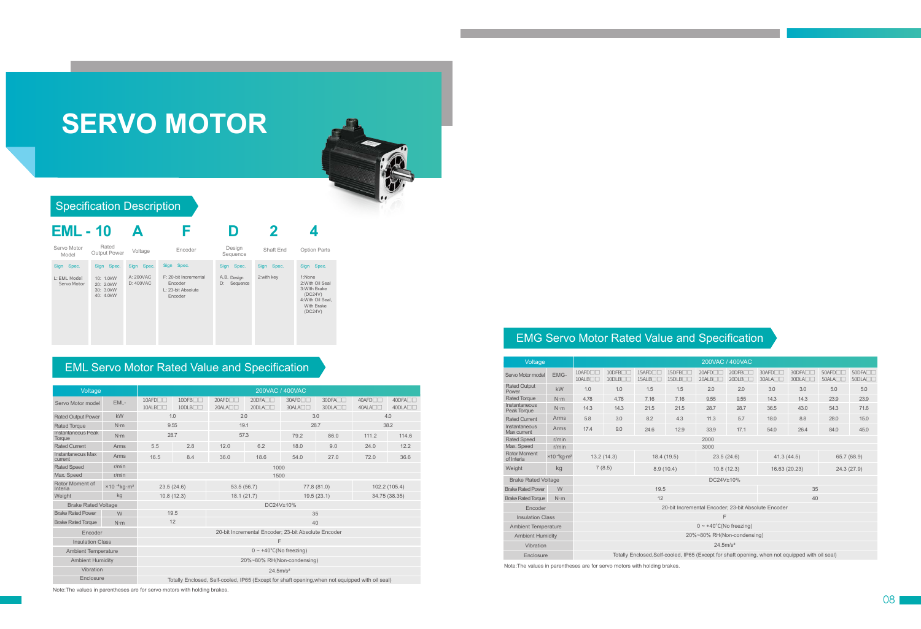# **SERVO MOTOR**



#### Specification Description



#### EML Servo Motor Rated Value and Specification

| Voltage                       |                | 200VAC / 400VAC                                                                                 |                                    |                          |                              |                             |                                        |                             |                                             |  |  |  |  |  |  |
|-------------------------------|----------------|-------------------------------------------------------------------------------------------------|------------------------------------|--------------------------|------------------------------|-----------------------------|----------------------------------------|-----------------------------|---------------------------------------------|--|--|--|--|--|--|
| Servo Motor model             | EML-           | $10$ AFD $\neg$<br>10ALB                                                                        | $10$ DFB $\Box$<br>$10$ DLB $\Box$ | $20$ AFD $\neg$<br>20ALA | 20DFA <sub>II</sub><br>20DLA | 30AFD <sub>I</sub><br>30ALA | 30DFA <sub>II</sub><br>$30DL$ A $\Box$ | 40AFD <sub>U</sub><br>40ALA | 40DFA <sub>II</sub><br>40DLA <sub>III</sub> |  |  |  |  |  |  |
| <b>Rated Output Power</b>     | kW             | 1.0                                                                                             |                                    | 2.0                      |                              |                             | 3.0                                    | 4.0                         |                                             |  |  |  |  |  |  |
| <b>Rated Torque</b>           | $N \cdot m$    | 9.55                                                                                            |                                    | 19.1                     |                              |                             | 28.7                                   | 38.2                        |                                             |  |  |  |  |  |  |
| Instantaneous Peak<br>Torque  | $N \cdot m$    | 28.7                                                                                            |                                    | 57.3                     |                              | 86.0<br>79.2                |                                        | 111.2                       | 114.6                                       |  |  |  |  |  |  |
| <b>Rated Current</b>          | Arms           | 5.5                                                                                             | 2.8                                | 12.0                     | 6.2                          | 18.0                        | 9.0                                    | 24.0                        | 12.2                                        |  |  |  |  |  |  |
| Instantaneous Max<br>current  | Arms           | 8.4<br>16.5                                                                                     |                                    | 36.0                     | 18.6                         | 54.0                        | 27.0                                   | 72.0                        | 36.6                                        |  |  |  |  |  |  |
| <b>Rated Speed</b>            | r/min          | 1000                                                                                            |                                    |                          |                              |                             |                                        |                             |                                             |  |  |  |  |  |  |
| Max. Speed                    | r/min          | 1500                                                                                            |                                    |                          |                              |                             |                                        |                             |                                             |  |  |  |  |  |  |
| Rotor Moment of<br>Interia    | $×10-4kg·m2$ . | 23.5(24.6)                                                                                      |                                    | 53.5(56.7)               |                              |                             | 77.8 (81.0)                            | 102.2 (105.4)               |                                             |  |  |  |  |  |  |
| Weight                        | kg             | 10.8(12.3)                                                                                      |                                    | 18.1(21.7)               |                              |                             | 19.5(23.1)                             | 34.75 (38.35)               |                                             |  |  |  |  |  |  |
| <b>Brake Rated Voltage</b>    |                | DC24V±10%                                                                                       |                                    |                          |                              |                             |                                        |                             |                                             |  |  |  |  |  |  |
| <b>Brake Rated Power</b><br>W |                | 19.5<br>35                                                                                      |                                    |                          |                              |                             |                                        |                             |                                             |  |  |  |  |  |  |
| <b>Brake Rated Torque</b>     | $N \cdot m$    | 12<br>40                                                                                        |                                    |                          |                              |                             |                                        |                             |                                             |  |  |  |  |  |  |
| Encoder                       |                | 20-bit Incremental Encoder; 23-bit Absolute Encoder                                             |                                    |                          |                              |                             |                                        |                             |                                             |  |  |  |  |  |  |
| <b>Insulation Class</b>       |                | F                                                                                               |                                    |                          |                              |                             |                                        |                             |                                             |  |  |  |  |  |  |
| <b>Ambient Temperature</b>    |                | $0 \sim +40^{\circ}$ C(No freezing)                                                             |                                    |                          |                              |                             |                                        |                             |                                             |  |  |  |  |  |  |
| <b>Ambient Humidity</b>       |                | 20%~80% RH(Non-condensing)                                                                      |                                    |                          |                              |                             |                                        |                             |                                             |  |  |  |  |  |  |
| Vibration                     |                | 24.5m/s <sup>2</sup>                                                                            |                                    |                          |                              |                             |                                        |                             |                                             |  |  |  |  |  |  |
| Enclosure                     |                | Totally Enclosed, Self-cooled, IP65 (Except for shaft opening, when not equipped with oil seal) |                                    |                          |                              |                             |                                        |                             |                                             |  |  |  |  |  |  |

Note:The values in parentheses are for servo motors with holding brakes.